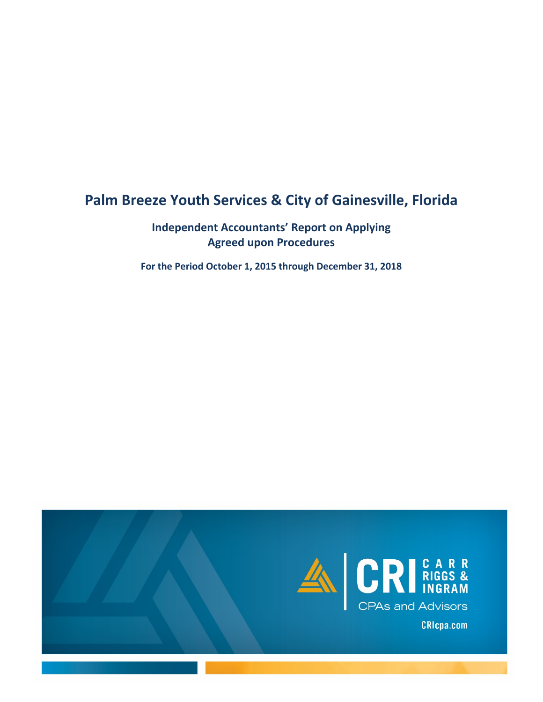# **Palm Breeze Youth Services & City of Gainesville, Florida**

## **Independent Accountants' Report on Applying Agreed upon Procedures**

**For the Period October 1, 2015 through December 31, 2018**

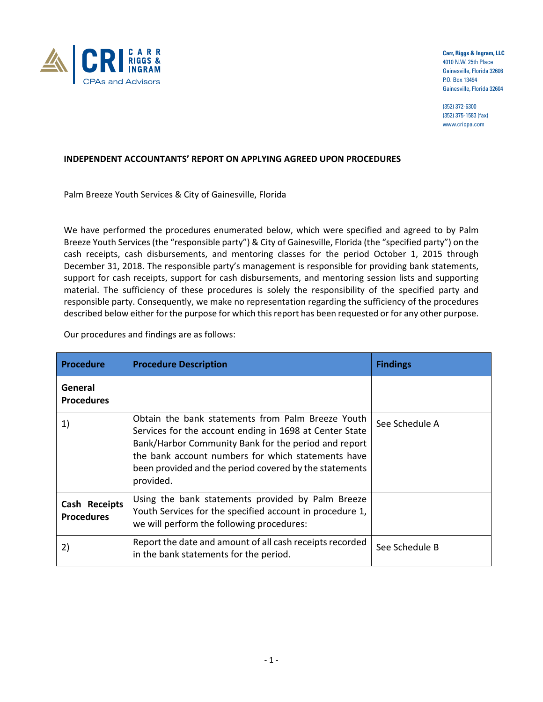

**Carr, Riggs & Ingram, LLC** 4010 N.W. 25th Place Gainesville, Florida 32606 P.O. Box 13494 Gainesville, Florida 32604

(352) 372-6300 (352) 375-1583 (fax) www.cricpa.com

#### **INDEPENDENT ACCOUNTANTS' REPORT ON APPLYING AGREED UPON PROCEDURES**

Palm Breeze Youth Services & City of Gainesville, Florida

We have performed the procedures enumerated below, which were specified and agreed to by Palm Breeze Youth Services (the "responsible party") & City of Gainesville, Florida (the "specified party") on the cash receipts, cash disbursements, and mentoring classes for the period October 1, 2015 through December 31, 2018. The responsible party's management is responsible for providing bank statements, support for cash receipts, support for cash disbursements, and mentoring session lists and supporting material. The sufficiency of these procedures is solely the responsibility of the specified party and responsible party. Consequently, we make no representation regarding the sufficiency of the procedures described below either for the purpose for which this report has been requested or for any other purpose.

Our procedures and findings are as follows:

| <b>Procedure</b>                   | <b>Procedure Description</b>                                                                                                                                                                                                                                                                      | <b>Findings</b> |
|------------------------------------|---------------------------------------------------------------------------------------------------------------------------------------------------------------------------------------------------------------------------------------------------------------------------------------------------|-----------------|
| General<br><b>Procedures</b>       |                                                                                                                                                                                                                                                                                                   |                 |
| 1)                                 | Obtain the bank statements from Palm Breeze Youth<br>Services for the account ending in 1698 at Center State<br>Bank/Harbor Community Bank for the period and report<br>the bank account numbers for which statements have<br>been provided and the period covered by the statements<br>provided. | See Schedule A  |
| Cash Receipts<br><b>Procedures</b> | Using the bank statements provided by Palm Breeze<br>Youth Services for the specified account in procedure 1,<br>we will perform the following procedures:                                                                                                                                        |                 |
| 2)                                 | Report the date and amount of all cash receipts recorded<br>in the bank statements for the period.                                                                                                                                                                                                | See Schedule B  |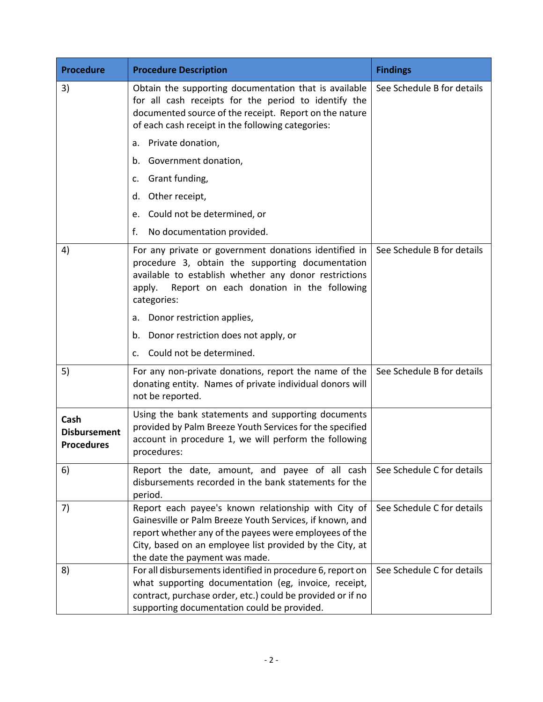| <b>Procedure</b>                                 | <b>Procedure Description</b>                                                                                                                                                                                                                                            | <b>Findings</b>            |
|--------------------------------------------------|-------------------------------------------------------------------------------------------------------------------------------------------------------------------------------------------------------------------------------------------------------------------------|----------------------------|
| 3)                                               | Obtain the supporting documentation that is available<br>for all cash receipts for the period to identify the<br>documented source of the receipt. Report on the nature<br>of each cash receipt in the following categories:                                            | See Schedule B for details |
|                                                  | Private donation,<br>a.                                                                                                                                                                                                                                                 |                            |
|                                                  | Government donation,<br>b.                                                                                                                                                                                                                                              |                            |
|                                                  | Grant funding,<br>c.                                                                                                                                                                                                                                                    |                            |
|                                                  | Other receipt,<br>d.                                                                                                                                                                                                                                                    |                            |
|                                                  | Could not be determined, or<br>e.                                                                                                                                                                                                                                       |                            |
|                                                  | f.<br>No documentation provided.                                                                                                                                                                                                                                        |                            |
| 4)                                               | For any private or government donations identified in<br>procedure 3, obtain the supporting documentation<br>available to establish whether any donor restrictions<br>Report on each donation in the following<br>apply.<br>categories:                                 | See Schedule B for details |
|                                                  | Donor restriction applies,<br>a.                                                                                                                                                                                                                                        |                            |
|                                                  | Donor restriction does not apply, or<br>b.                                                                                                                                                                                                                              |                            |
|                                                  | Could not be determined.<br>$\mathsf{C}$ .                                                                                                                                                                                                                              |                            |
| 5)                                               | For any non-private donations, report the name of the<br>donating entity. Names of private individual donors will<br>not be reported.                                                                                                                                   | See Schedule B for details |
| Cash<br><b>Disbursement</b><br><b>Procedures</b> | Using the bank statements and supporting documents<br>provided by Palm Breeze Youth Services for the specified<br>account in procedure 1, we will perform the following<br>procedures:                                                                                  |                            |
| 6)                                               | Report the date, amount, and payee of all cash<br>disbursements recorded in the bank statements for the<br>period.                                                                                                                                                      | See Schedule C for details |
| 7)                                               | Report each payee's known relationship with City of<br>Gainesville or Palm Breeze Youth Services, if known, and<br>report whether any of the payees were employees of the<br>City, based on an employee list provided by the City, at<br>the date the payment was made. | See Schedule C for details |
| 8)                                               | For all disbursements identified in procedure 6, report on<br>what supporting documentation (eg, invoice, receipt,<br>contract, purchase order, etc.) could be provided or if no<br>supporting documentation could be provided.                                         | See Schedule C for details |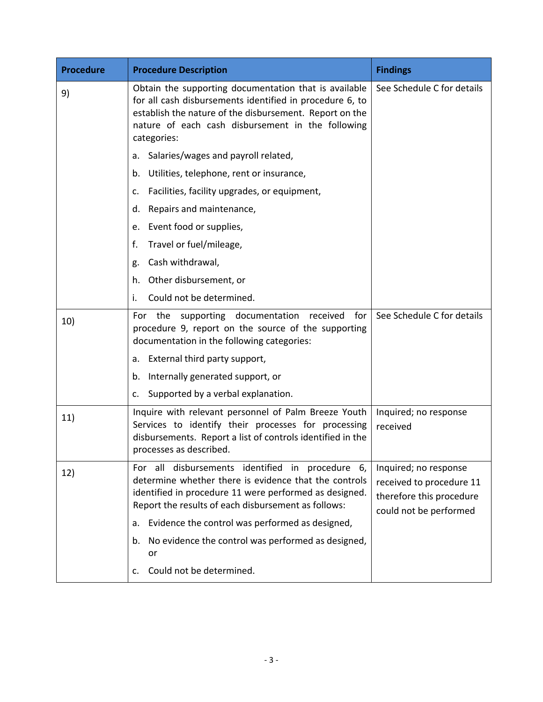| <b>Procedure</b> | <b>Procedure Description</b>                                                                                                                                                                                                                     | <b>Findings</b>                                                                                         |
|------------------|--------------------------------------------------------------------------------------------------------------------------------------------------------------------------------------------------------------------------------------------------|---------------------------------------------------------------------------------------------------------|
| 9)               | Obtain the supporting documentation that is available<br>for all cash disbursements identified in procedure 6, to<br>establish the nature of the disbursement. Report on the<br>nature of each cash disbursement in the following<br>categories: | See Schedule C for details                                                                              |
|                  | Salaries/wages and payroll related,<br>a.                                                                                                                                                                                                        |                                                                                                         |
|                  | Utilities, telephone, rent or insurance,<br>b.                                                                                                                                                                                                   |                                                                                                         |
|                  | Facilities, facility upgrades, or equipment,<br>c.                                                                                                                                                                                               |                                                                                                         |
|                  | Repairs and maintenance,<br>d.                                                                                                                                                                                                                   |                                                                                                         |
|                  | Event food or supplies,<br>e.                                                                                                                                                                                                                    |                                                                                                         |
|                  | Travel or fuel/mileage,<br>f.                                                                                                                                                                                                                    |                                                                                                         |
|                  | Cash withdrawal,<br>g.                                                                                                                                                                                                                           |                                                                                                         |
|                  | Other disbursement, or<br>h.                                                                                                                                                                                                                     |                                                                                                         |
|                  | Could not be determined.<br>i.                                                                                                                                                                                                                   |                                                                                                         |
| 10)              | For the supporting documentation received<br>for<br>procedure 9, report on the source of the supporting<br>documentation in the following categories:                                                                                            | See Schedule C for details                                                                              |
|                  | External third party support,<br>a.                                                                                                                                                                                                              |                                                                                                         |
|                  | Internally generated support, or<br>b.                                                                                                                                                                                                           |                                                                                                         |
|                  | Supported by a verbal explanation.<br>c.                                                                                                                                                                                                         |                                                                                                         |
| 11)              | Inquire with relevant personnel of Palm Breeze Youth<br>Services to identify their processes for processing<br>disbursements. Report a list of controls identified in the<br>processes as described.                                             | Inquired; no response<br>received                                                                       |
| 12)              | For all disbursements identified in procedure 6,<br>determine whether there is evidence that the controls<br>identified in procedure 11 were performed as designed.<br>Report the results of each disbursement as follows:                       | Inquired; no response<br>received to procedure 11<br>therefore this procedure<br>could not be performed |
|                  | Evidence the control was performed as designed,<br>a.                                                                                                                                                                                            |                                                                                                         |
|                  | No evidence the control was performed as designed,<br>b.<br>or                                                                                                                                                                                   |                                                                                                         |
|                  | Could not be determined.<br>c.                                                                                                                                                                                                                   |                                                                                                         |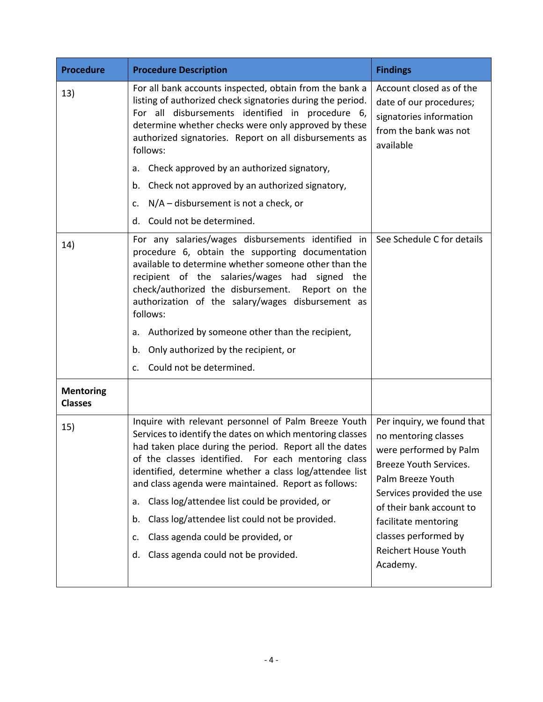| <b>Procedure</b>                   | <b>Procedure Description</b>                                                                                                                                                                                                                                                                                                                                                                                                                                                                                                                                   | <b>Findings</b>                                                                                                                                                                                                                                                                        |
|------------------------------------|----------------------------------------------------------------------------------------------------------------------------------------------------------------------------------------------------------------------------------------------------------------------------------------------------------------------------------------------------------------------------------------------------------------------------------------------------------------------------------------------------------------------------------------------------------------|----------------------------------------------------------------------------------------------------------------------------------------------------------------------------------------------------------------------------------------------------------------------------------------|
| 13)                                | For all bank accounts inspected, obtain from the bank a<br>listing of authorized check signatories during the period.<br>For all disbursements identified in procedure 6,<br>determine whether checks were only approved by these<br>authorized signatories. Report on all disbursements as<br>follows:                                                                                                                                                                                                                                                        | Account closed as of the<br>date of our procedures;<br>signatories information<br>from the bank was not<br>available                                                                                                                                                                   |
|                                    | Check approved by an authorized signatory,<br>а.                                                                                                                                                                                                                                                                                                                                                                                                                                                                                                               |                                                                                                                                                                                                                                                                                        |
|                                    | Check not approved by an authorized signatory,<br>b.                                                                                                                                                                                                                                                                                                                                                                                                                                                                                                           |                                                                                                                                                                                                                                                                                        |
|                                    | N/A - disbursement is not a check, or<br>c.                                                                                                                                                                                                                                                                                                                                                                                                                                                                                                                    |                                                                                                                                                                                                                                                                                        |
|                                    | d. Could not be determined.                                                                                                                                                                                                                                                                                                                                                                                                                                                                                                                                    |                                                                                                                                                                                                                                                                                        |
| 14)                                | For any salaries/wages disbursements identified in<br>procedure 6, obtain the supporting documentation<br>available to determine whether someone other than the<br>recipient of the salaries/wages had signed the<br>check/authorized the disbursement. Report on the<br>authorization of the salary/wages disbursement as<br>follows:                                                                                                                                                                                                                         | See Schedule C for details                                                                                                                                                                                                                                                             |
|                                    | Authorized by someone other than the recipient,<br>а.                                                                                                                                                                                                                                                                                                                                                                                                                                                                                                          |                                                                                                                                                                                                                                                                                        |
|                                    | Only authorized by the recipient, or<br>b.                                                                                                                                                                                                                                                                                                                                                                                                                                                                                                                     |                                                                                                                                                                                                                                                                                        |
|                                    | Could not be determined.<br>$\mathsf{C}$ .                                                                                                                                                                                                                                                                                                                                                                                                                                                                                                                     |                                                                                                                                                                                                                                                                                        |
| <b>Mentoring</b><br><b>Classes</b> |                                                                                                                                                                                                                                                                                                                                                                                                                                                                                                                                                                |                                                                                                                                                                                                                                                                                        |
| 15)                                | Inquire with relevant personnel of Palm Breeze Youth<br>Services to identify the dates on which mentoring classes<br>had taken place during the period. Report all the dates<br>of the classes identified. For each mentoring class<br>identified, determine whether a class log/attendee list<br>and class agenda were maintained. Report as follows:<br>Class log/attendee list could be provided, or<br>a.<br>Class log/attendee list could not be provided.<br>b.<br>Class agenda could be provided, or<br>c.<br>Class agenda could not be provided.<br>d. | Per inquiry, we found that<br>no mentoring classes<br>were performed by Palm<br><b>Breeze Youth Services.</b><br>Palm Breeze Youth<br>Services provided the use<br>of their bank account to<br>facilitate mentoring<br>classes performed by<br><b>Reichert House Youth</b><br>Academy. |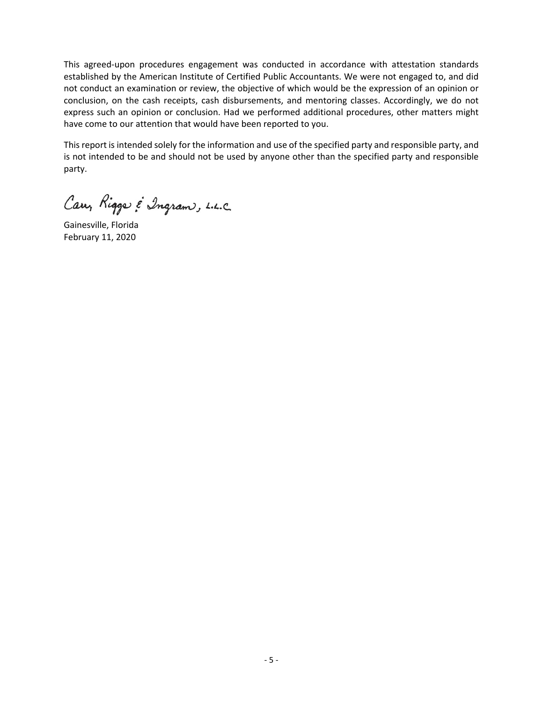This agreed-upon procedures engagement was conducted in accordance with attestation standards established by the American Institute of Certified Public Accountants. We were not engaged to, and did not conduct an examination or review, the objective of which would be the expression of an opinion or conclusion, on the cash receipts, cash disbursements, and mentoring classes. Accordingly, we do not express such an opinion or conclusion. Had we performed additional procedures, other matters might have come to our attention that would have been reported to you.

This report is intended solely for the information and use of the specified party and responsible party, and is not intended to be and should not be used by anyone other than the specified party and responsible party.

Carry Riggs & Ingram, L.L.C.

Gainesville, Florida February 11, 2020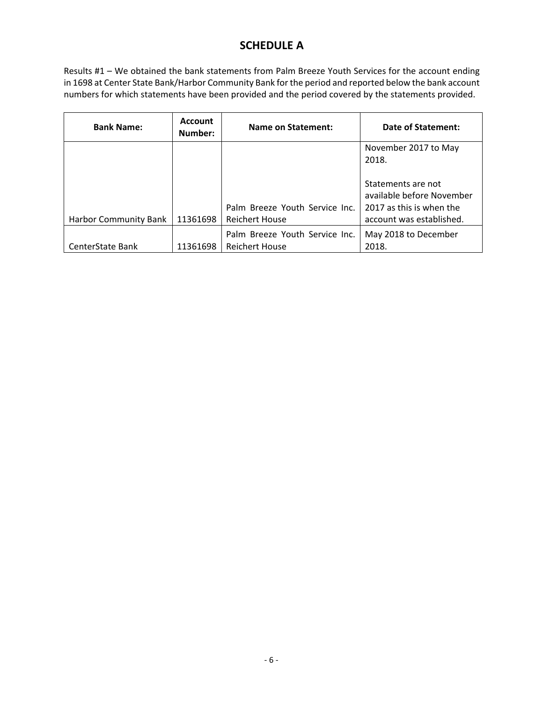### **SCHEDULE A**

Results #1 – We obtained the bank statements from Palm Breeze Youth Services for the account ending in 1698 at Center State Bank/Harbor Community Bank for the period and reported below the bank account numbers for which statements have been provided and the period covered by the statements provided.

| <b>Account</b><br><b>Bank Name:</b><br>Number: |          | <b>Name on Statement:</b>                               | Date of Statement:                                                                                      |  |  |
|------------------------------------------------|----------|---------------------------------------------------------|---------------------------------------------------------------------------------------------------------|--|--|
|                                                |          |                                                         | November 2017 to May<br>2018.                                                                           |  |  |
| <b>Harbor Community Bank</b>                   | 11361698 | Palm Breeze Youth Service Inc.<br><b>Reichert House</b> | Statements are not<br>available before November<br>2017 as this is when the<br>account was established. |  |  |
| CenterState Bank                               | 11361698 | Palm Breeze Youth Service Inc.<br><b>Reichert House</b> | May 2018 to December<br>2018.                                                                           |  |  |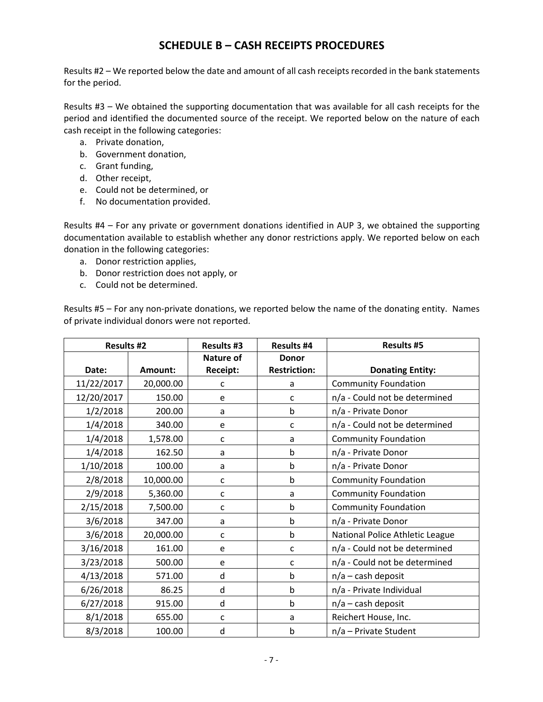#### **SCHEDULE B – CASH RECEIPTS PROCEDURES**

Results #2 – We reported below the date and amount of all cash receipts recorded in the bank statements for the period.

Results #3 – We obtained the supporting documentation that was available for all cash receipts for the period and identified the documented source of the receipt. We reported below on the nature of each cash receipt in the following categories:

- a. Private donation,
- b. Government donation,
- c. Grant funding,
- d. Other receipt,
- e. Could not be determined, or
- f. No documentation provided.

Results #4 – For any private or government donations identified in AUP 3, we obtained the supporting documentation available to establish whether any donor restrictions apply. We reported below on each donation in the following categories:

- a. Donor restriction applies,
- b. Donor restriction does not apply, or
- c. Could not be determined.

Results #5 – For any non-private donations, we reported below the name of the donating entity. Names of private individual donors were not reported.

| <b>Results #2</b> |           | <b>Results #3</b> | <b>Results #4</b>   | <b>Results #5</b>               |
|-------------------|-----------|-------------------|---------------------|---------------------------------|
|                   |           | Nature of         | <b>Donor</b>        |                                 |
| Date:             | Amount:   | <b>Receipt:</b>   | <b>Restriction:</b> | <b>Donating Entity:</b>         |
| 11/22/2017        | 20,000.00 | C                 | a                   | <b>Community Foundation</b>     |
| 12/20/2017        | 150.00    | e                 | C                   | n/a - Could not be determined   |
| 1/2/2018          | 200.00    | a                 | b                   | n/a - Private Donor             |
| 1/4/2018          | 340.00    | e                 | C                   | n/a - Could not be determined   |
| 1/4/2018          | 1,578.00  | $\mathsf{C}$      | a                   | <b>Community Foundation</b>     |
| 1/4/2018          | 162.50    | a                 | b                   | n/a - Private Donor             |
| 1/10/2018         | 100.00    | a                 | b                   | n/a - Private Donor             |
| 2/8/2018          | 10,000.00 | $\mathsf{C}$      | b                   | <b>Community Foundation</b>     |
| 2/9/2018          | 5,360.00  | $\mathsf{C}$      | а                   | <b>Community Foundation</b>     |
| 2/15/2018         | 7,500.00  | C                 | b                   | <b>Community Foundation</b>     |
| 3/6/2018          | 347.00    | a                 | b                   | n/a - Private Donor             |
| 3/6/2018          | 20,000.00 | C                 | b                   | National Police Athletic League |
| 3/16/2018         | 161.00    | e                 | C                   | n/a - Could not be determined   |
| 3/23/2018         | 500.00    | e                 | C                   | n/a - Could not be determined   |
| 4/13/2018         | 571.00    | d                 | b                   | $n/a$ – cash deposit            |
| 6/26/2018         | 86.25     | d                 | b                   | n/a - Private Individual        |
| 6/27/2018         | 915.00    | d                 | b                   | $n/a$ – cash deposit            |
| 8/1/2018          | 655.00    | C                 | a                   | Reichert House, Inc.            |
| 8/3/2018          | 100.00    | d                 | b                   | n/a - Private Student           |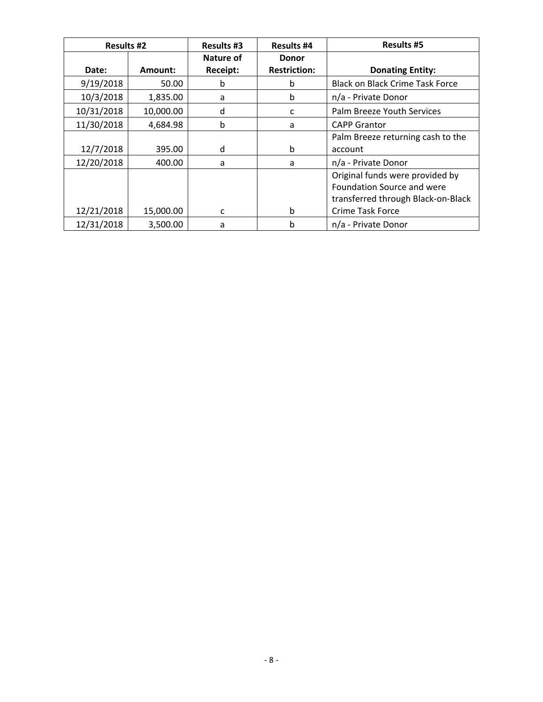| <b>Results #2</b> |           | <b>Results #3</b>     | <b>Results #4</b>                   | <b>Results #5</b>                                                                                                              |
|-------------------|-----------|-----------------------|-------------------------------------|--------------------------------------------------------------------------------------------------------------------------------|
| Date:             | Amount:   | Nature of<br>Receipt: | <b>Donor</b><br><b>Restriction:</b> | <b>Donating Entity:</b>                                                                                                        |
| 9/19/2018         | 50.00     | b                     | b                                   | <b>Black on Black Crime Task Force</b>                                                                                         |
| 10/3/2018         | 1,835.00  | a                     | b                                   | n/a - Private Donor                                                                                                            |
| 10/31/2018        | 10,000.00 | d                     | c                                   | Palm Breeze Youth Services                                                                                                     |
| 11/30/2018        | 4,684.98  | b                     | a                                   | <b>CAPP Grantor</b>                                                                                                            |
| 12/7/2018         | 395.00    | d                     | b                                   | Palm Breeze returning cash to the<br>account                                                                                   |
| 12/20/2018        | 400.00    | a                     | a                                   | n/a - Private Donor                                                                                                            |
| 12/21/2018        | 15,000.00 | c                     | b                                   | Original funds were provided by<br>Foundation Source and were<br>transferred through Black-on-Black<br><b>Crime Task Force</b> |
| 12/31/2018        | 3,500.00  | a                     | b                                   | n/a - Private Donor                                                                                                            |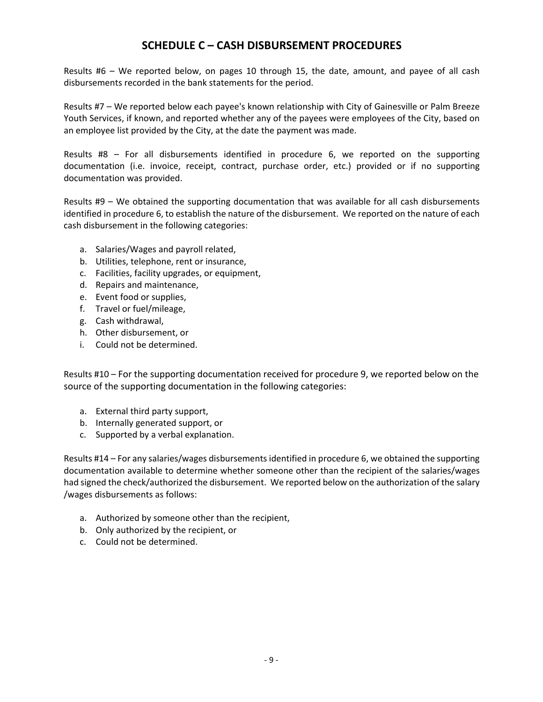#### **SCHEDULE C – CASH DISBURSEMENT PROCEDURES**

Results #6 – We reported below, on pages 10 through 15, the date, amount, and payee of all cash disbursements recorded in the bank statements for the period.

Results #7 – We reported below each payee's known relationship with City of Gainesville or Palm Breeze Youth Services, if known, and reported whether any of the payees were employees of the City, based on an employee list provided by the City, at the date the payment was made.

Results #8 – For all disbursements identified in procedure 6, we reported on the supporting documentation (i.e. invoice, receipt, contract, purchase order, etc.) provided or if no supporting documentation was provided.

Results #9 – We obtained the supporting documentation that was available for all cash disbursements identified in procedure 6, to establish the nature of the disbursement. We reported on the nature of each cash disbursement in the following categories:

- a. Salaries/Wages and payroll related,
- b. Utilities, telephone, rent or insurance,
- c. Facilities, facility upgrades, or equipment,
- d. Repairs and maintenance,
- e. Event food or supplies,
- f. Travel or fuel/mileage,
- g. Cash withdrawal,
- h. Other disbursement, or
- i. Could not be determined.

Results #10 – For the supporting documentation received for procedure 9, we reported below on the source of the supporting documentation in the following categories:

- a. External third party support,
- b. Internally generated support, or
- c. Supported by a verbal explanation.

Results #14 – For any salaries/wages disbursements identified in procedure 6, we obtained the supporting documentation available to determine whether someone other than the recipient of the salaries/wages had signed the check/authorized the disbursement. We reported below on the authorization of the salary /wages disbursements as follows:

- a. Authorized by someone other than the recipient,
- b. Only authorized by the recipient, or
- c. Could not be determined.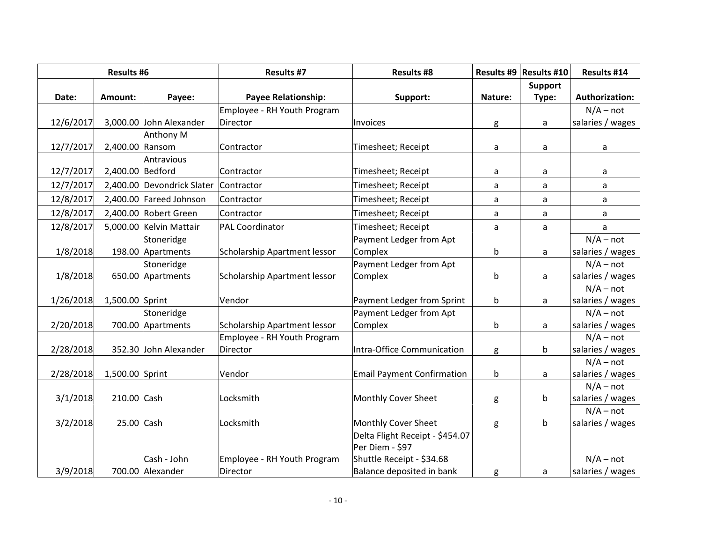| <b>Results #6</b> |                  | <b>Results #7</b>          | <b>Results #8</b>                  |                                                    | Results #9   Results #10 | Results #14 |                       |
|-------------------|------------------|----------------------------|------------------------------------|----------------------------------------------------|--------------------------|-------------|-----------------------|
|                   |                  |                            |                                    |                                                    |                          | Support     |                       |
| Date:             | Amount:          | Payee:                     | <b>Payee Relationship:</b>         | Support:                                           | Nature:                  | Type:       | <b>Authorization:</b> |
|                   |                  |                            | <b>Employee - RH Youth Program</b> |                                                    |                          |             | $N/A - not$           |
| 12/6/2017         |                  | 3,000.00 John Alexander    | Director                           | Invoices                                           | g                        | a           | salaries / wages      |
|                   |                  | Anthony M                  |                                    |                                                    |                          |             |                       |
| 12/7/2017         | 2,400.00 Ransom  |                            | Contractor                         | Timesheet; Receipt                                 | a                        | a           | a                     |
|                   |                  | Antravious                 |                                    |                                                    |                          |             |                       |
| 12/7/2017         | 2,400.00 Bedford |                            | Contractor                         | Timesheet; Receipt                                 | a                        | a           | a                     |
| 12/7/2017         |                  | 2,400.00 Devondrick Slater | Contractor                         | Timesheet; Receipt                                 | a                        | a           | a                     |
| 12/8/2017         |                  | 2,400.00 Fareed Johnson    | Contractor                         | Timesheet; Receipt                                 | a                        | a           | a                     |
| 12/8/2017         |                  | 2,400.00 Robert Green      | Contractor                         | Timesheet; Receipt                                 | a                        | a           | a                     |
| 12/8/2017         |                  | 5,000.00 Kelvin Mattair    | <b>PAL Coordinator</b>             | Timesheet; Receipt                                 | a                        | a           | a                     |
|                   |                  | Stoneridge                 |                                    | Payment Ledger from Apt                            |                          |             | $N/A - not$           |
| 1/8/2018          |                  | 198.00 Apartments          | Scholarship Apartment lessor       | Complex                                            | b                        | a           | salaries / wages      |
|                   |                  | Stoneridge                 |                                    | Payment Ledger from Apt                            |                          |             | $N/A - not$           |
| 1/8/2018          |                  | 650.00 Apartments          | Scholarship Apartment lessor       | Complex                                            | b                        | a           | salaries / wages      |
|                   |                  |                            |                                    |                                                    |                          |             | $N/A - not$           |
| 1/26/2018         | 1,500.00 Sprint  |                            | Vendor                             | Payment Ledger from Sprint                         | b                        | a           | salaries / wages      |
|                   |                  | Stoneridge                 |                                    | Payment Ledger from Apt                            |                          |             | $N/A - not$           |
| 2/20/2018         |                  | 700.00 Apartments          | Scholarship Apartment lessor       | Complex                                            | b                        | a           | salaries / wages      |
|                   |                  |                            | <b>Employee - RH Youth Program</b> |                                                    |                          |             | $N/A - not$           |
| 2/28/2018         |                  | 352.30 John Alexander      | Director                           | Intra-Office Communication                         | g                        | b           | salaries / wages      |
|                   |                  |                            |                                    |                                                    |                          |             | $N/A - not$           |
| 2/28/2018         | 1,500.00 Sprint  |                            | Vendor                             | <b>Email Payment Confirmation</b>                  | $\mathsf b$              | a           | salaries / wages      |
|                   |                  |                            |                                    |                                                    |                          |             | $N/A - not$           |
| 3/1/2018          | 210.00 Cash      |                            | Locksmith                          | Monthly Cover Sheet                                | g                        | b           | salaries / wages      |
|                   |                  |                            |                                    |                                                    |                          |             | $N/A - not$           |
| 3/2/2018          | 25.00 Cash       |                            | Locksmith                          | Monthly Cover Sheet                                | g                        | þ           | salaries / wages      |
|                   |                  |                            |                                    | Delta Flight Receipt - \$454.07<br>Per Diem - \$97 |                          |             |                       |
|                   |                  | Cash - John                | Employee - RH Youth Program        | Shuttle Receipt - \$34.68                          |                          |             | $N/A - not$           |
|                   |                  |                            |                                    |                                                    |                          |             |                       |
| 3/9/2018          |                  | 700.00 Alexander           | Director                           | Balance deposited in bank                          | g                        | a           | salaries / wages      |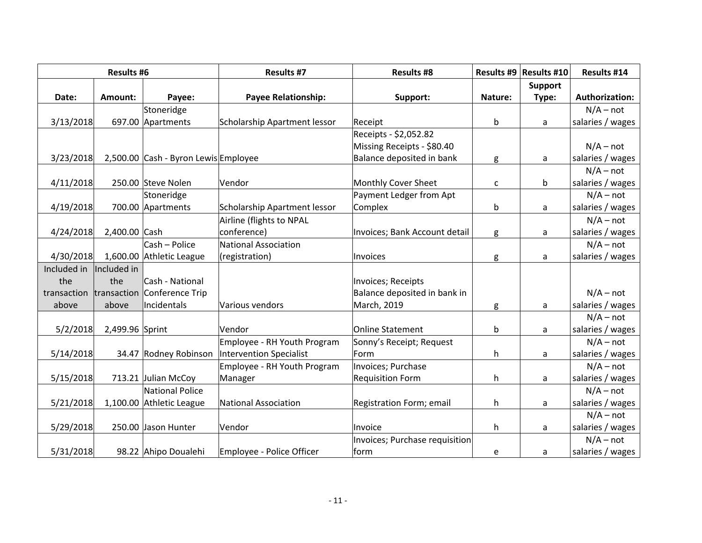| <b>Results #6</b> |                 | <b>Results #7</b>                    | <b>Results #8</b>                   |                                | Results #9   Results #10 | Results #14    |                       |
|-------------------|-----------------|--------------------------------------|-------------------------------------|--------------------------------|--------------------------|----------------|-----------------------|
|                   |                 |                                      |                                     |                                |                          | <b>Support</b> |                       |
| Date:             | Amount:         | Payee:                               | <b>Payee Relationship:</b>          | Support:                       | Nature:                  | Type:          | <b>Authorization:</b> |
|                   |                 | Stoneridge                           |                                     |                                |                          |                | $N/A - not$           |
| 3/13/2018         |                 | 697.00 Apartments                    | <b>Scholarship Apartment lessor</b> | Receipt                        | b                        | a              | salaries / wages      |
|                   |                 |                                      |                                     | Receipts - \$2,052.82          |                          |                |                       |
|                   |                 |                                      |                                     | Missing Receipts - \$80.40     |                          |                | $N/A - not$           |
| 3/23/2018         |                 | 2,500.00 Cash - Byron Lewis Employee |                                     | Balance deposited in bank      | g                        | a              | salaries / wages      |
|                   |                 |                                      |                                     |                                |                          |                | $N/A - not$           |
| 4/11/2018         |                 | 250.00 Steve Nolen                   | Vendor                              | Monthly Cover Sheet            | С                        | b              | salaries / wages      |
|                   |                 | Stoneridge                           |                                     | Payment Ledger from Apt        |                          |                | $N/A - not$           |
| 4/19/2018         |                 | 700.00 Apartments                    | Scholarship Apartment lessor        | Complex                        | b                        | a              | salaries / wages      |
|                   |                 |                                      | Airline (flights to NPAL            |                                |                          |                | $N/A - not$           |
| 4/24/2018         | 2,400.00 Cash   |                                      | conference)                         | Invoices; Bank Account detail  | g                        | a              | salaries / wages      |
|                   |                 | Cash - Police                        | <b>National Association</b>         |                                |                          |                | $N/A - not$           |
| 4/30/2018         |                 | 1,600.00 Athletic League             | (registration)                      | Invoices                       | g                        | a              | salaries / wages      |
| Included in       | Included in     |                                      |                                     |                                |                          |                |                       |
| the               | the             | Cash - National                      |                                     | Invoices; Receipts             |                          |                |                       |
| transaction       |                 | transaction Conference Trip          |                                     | Balance deposited in bank in   |                          |                | $N/A - not$           |
| above             | above           | Incidentals                          | Various vendors                     | March, 2019                    | g                        | a              | salaries / wages      |
|                   |                 |                                      |                                     |                                |                          |                | $N/A - not$           |
| 5/2/2018          | 2,499.96 Sprint |                                      | Vendor                              | <b>Online Statement</b>        | b                        | a              | salaries / wages      |
|                   |                 |                                      | Employee - RH Youth Program         | Sonny's Receipt; Request       |                          |                | $N/A - not$           |
| 5/14/2018         |                 | 34.47 Rodney Robinson                | Intervention Specialist             | Form                           | h                        | a              | salaries / wages      |
|                   |                 |                                      | Employee - RH Youth Program         | Invoices; Purchase             |                          |                | $N/A - not$           |
| 5/15/2018         |                 | 713.21 Julian McCoy                  | Manager                             | <b>Requisition Form</b>        | h                        | a              | salaries / wages      |
|                   |                 | National Police                      |                                     |                                |                          |                | $N/A - not$           |
| 5/21/2018         |                 | 1,100.00 Athletic League             | National Association                | Registration Form; email       | h                        | a              | salaries / wages      |
|                   |                 |                                      |                                     |                                |                          |                | $N/A - not$           |
| 5/29/2018         |                 | 250.00 Jason Hunter                  | Vendor                              | Invoice                        | h                        | a              | salaries / wages      |
|                   |                 |                                      |                                     | Invoices; Purchase requisition |                          |                | $N/A - not$           |
| 5/31/2018         |                 | 98.22 Ahipo Doualehi                 | Employee - Police Officer           | form                           | e                        | a              | salaries / wages      |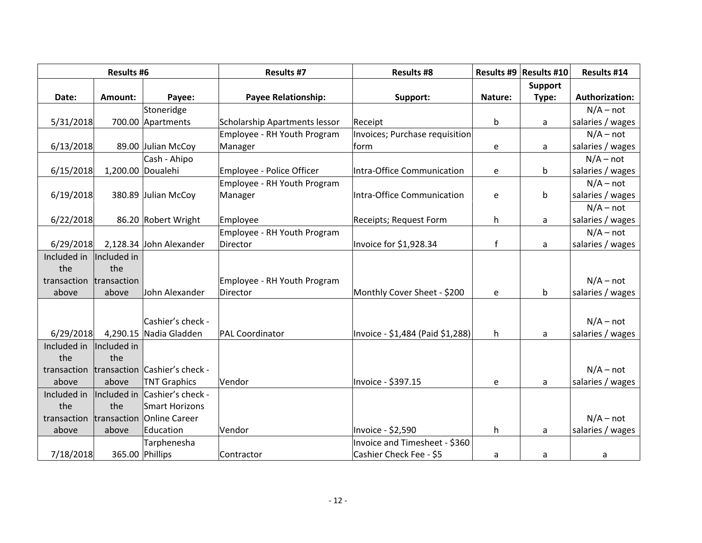| <b>Results #6</b>       |             | <b>Results #7</b>                         | <b>Results #8</b>             |                                  | Results #9   Results #10 | <b>Results #14</b> |                       |
|-------------------------|-------------|-------------------------------------------|-------------------------------|----------------------------------|--------------------------|--------------------|-----------------------|
|                         |             |                                           |                               |                                  |                          | <b>Support</b>     |                       |
| Date:                   | Amount:     | Payee:                                    | <b>Payee Relationship:</b>    | Support:                         | Nature:                  | Type:              | <b>Authorization:</b> |
|                         |             | Stoneridge                                |                               |                                  |                          |                    | $N/A - not$           |
| 5/31/2018               |             | 700.00 Apartments                         | Scholarship Apartments lessor | Receipt                          | b                        | a                  | salaries / wages      |
|                         |             |                                           | Employee - RH Youth Program   | Invoices; Purchase requisition   |                          |                    | $N/A - not$           |
| 6/13/2018               |             | 89.00 Julian McCoy                        | Manager                       | form                             | ${\mathsf e}$            | a                  | salaries / wages      |
|                         |             | Cash - Ahipo                              |                               |                                  |                          |                    | $N/A - not$           |
| 6/15/2018               |             | 1,200.00 Doualehi                         | Employee - Police Officer     | Intra-Office Communication       | e                        | b                  | salaries / wages      |
|                         |             |                                           | Employee - RH Youth Program   |                                  |                          |                    | $N/A - not$           |
| 6/19/2018               |             | 380.89 Julian McCoy                       | Manager                       | Intra-Office Communication       | e                        | b                  | salaries / wages      |
|                         |             |                                           |                               |                                  |                          |                    | $N/A - not$           |
| 6/22/2018               |             | 86.20 Robert Wright                       | Employee                      | Receipts; Request Form           | h                        | a                  | salaries / wages      |
|                         |             |                                           | Employee - RH Youth Program   |                                  |                          |                    | $N/A - not$           |
| 6/29/2018               |             | 2,128.34 John Alexander                   | Director                      | Invoice for \$1,928.34           | $\mathbf{f}$             | a                  | salaries / wages      |
| Included in             | Included in |                                           |                               |                                  |                          |                    |                       |
| the                     | the         |                                           |                               |                                  |                          |                    |                       |
| transaction transaction |             |                                           | Employee - RH Youth Program   |                                  |                          |                    | $N/A - not$           |
| above                   | above       | John Alexander                            | Director                      | Monthly Cover Sheet - \$200      | e                        | b                  | salaries / wages      |
|                         |             |                                           |                               |                                  |                          |                    |                       |
|                         |             | Cashier's check -                         |                               |                                  |                          |                    | $N/A - not$           |
| 6/29/2018               |             | 4,290.15 Nadia Gladden                    | <b>PAL Coordinator</b>        | Invoice - \$1,484 (Paid \$1,288) | h                        | a                  | salaries / wages      |
| Included in             | Included in |                                           |                               |                                  |                          |                    |                       |
| the                     | the         |                                           |                               |                                  |                          |                    |                       |
|                         |             | transaction transaction Cashier's check - |                               |                                  |                          |                    | $N/A - not$           |
| above                   | above       | <b>TNT Graphics</b>                       | Vendor                        | Invoice - \$397.15               | e                        | a                  | salaries / wages      |
| Included in             | Included in | Cashier's check -                         |                               |                                  |                          |                    |                       |
| the                     | the         | Smart Horizons                            |                               |                                  |                          |                    |                       |
| transaction             |             | transaction Online Career                 |                               |                                  |                          |                    | $N/A - not$           |
| above                   | above       | Education                                 | Vendor                        | Invoice - \$2,590                | h.                       | a                  | salaries / wages      |
|                         |             | Tarphenesha                               |                               | Invoice and Timesheet - \$360    |                          |                    |                       |
| 7/18/2018               |             | 365.00 Phillips                           | Contractor                    | Cashier Check Fee - \$5          | a                        | a                  | a                     |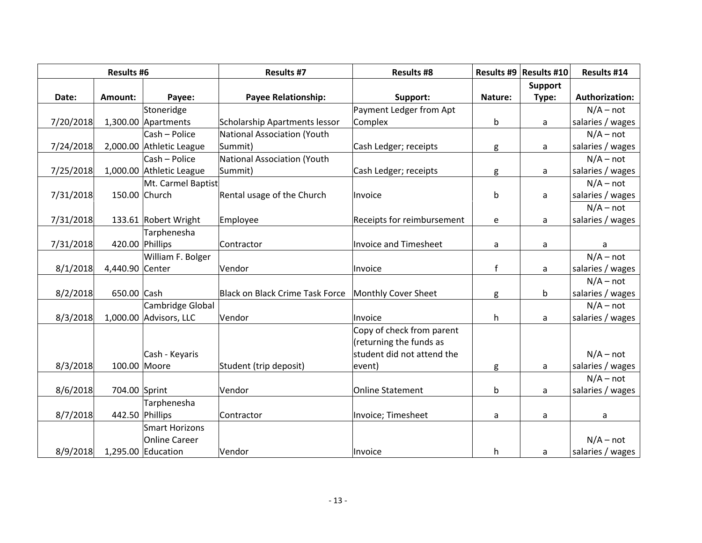| <b>Results #6</b> |                 | <b>Results #7</b>        | <b>Results #8</b>                  |                            | Results #9   Results #10 | Results #14    |                       |
|-------------------|-----------------|--------------------------|------------------------------------|----------------------------|--------------------------|----------------|-----------------------|
|                   |                 |                          |                                    |                            |                          | <b>Support</b> |                       |
| Date:             | Amount:         | Payee:                   | <b>Payee Relationship:</b>         | Support:                   | Nature:                  | Type:          | <b>Authorization:</b> |
|                   |                 | Stoneridge               |                                    | Payment Ledger from Apt    |                          |                | $N/A - not$           |
| 7/20/2018         |                 | 1,300.00 Apartments      | Scholarship Apartments lessor      | Complex                    | b                        | a              | salaries / wages      |
|                   |                 | Cash - Police            | <b>National Association (Youth</b> |                            |                          |                | $N/A - not$           |
| 7/24/2018         |                 | 2,000.00 Athletic League | Summit)                            | Cash Ledger; receipts      | g                        | a              | salaries / wages      |
|                   |                 | Cash - Police            | National Association (Youth        |                            |                          |                | $N/A - not$           |
| 7/25/2018         |                 | 1,000.00 Athletic League | Summit)                            | Cash Ledger; receipts      | g                        | a              | salaries / wages      |
|                   |                 | Mt. Carmel Baptist       |                                    |                            |                          |                | $N/A - not$           |
| 7/31/2018         | 150.00 Church   |                          | Rental usage of the Church         | Invoice                    | b                        | a              | salaries / wages      |
|                   |                 |                          |                                    |                            |                          |                | $N/A - not$           |
| 7/31/2018         |                 | 133.61 Robert Wright     | Employee                           | Receipts for reimbursement | e                        | a              | salaries / wages      |
|                   |                 | Tarphenesha              |                                    |                            |                          |                |                       |
| 7/31/2018         | 420.00 Phillips |                          | Contractor                         | Invoice and Timesheet      | a                        | a              | a                     |
|                   |                 | William F. Bolger        |                                    |                            |                          |                | $N/A - not$           |
| 8/1/2018          | 4,440.90 Center |                          | Vendor                             | Invoice                    | $\mathsf{f}$             | a              | salaries / wages      |
|                   |                 |                          |                                    |                            |                          |                | $N/A - not$           |
| 8/2/2018          | 650.00 Cash     |                          | Black on Black Crime Task Force    | Monthly Cover Sheet        | g                        | b              | salaries / wages      |
|                   |                 | Cambridge Global         |                                    |                            |                          |                | $N/A - not$           |
| 8/3/2018          |                 | 1,000.00 Advisors, LLC   | Vendor                             | Invoice                    | h                        | a              | salaries / wages      |
|                   |                 |                          |                                    | Copy of check from parent  |                          |                |                       |
|                   |                 |                          |                                    | (returning the funds as    |                          |                |                       |
|                   |                 | Cash - Keyaris           |                                    | student did not attend the |                          |                | $N/A - not$           |
| 8/3/2018          | 100.00 Moore    |                          | Student (trip deposit)             | event)                     | g                        | a              | salaries / wages      |
|                   |                 |                          |                                    |                            |                          |                | $N/A - not$           |
| 8/6/2018          | 704.00 Sprint   |                          | Vendor                             | <b>Online Statement</b>    | b                        | a              | salaries / wages      |
|                   |                 | Tarphenesha              |                                    |                            |                          |                |                       |
| 8/7/2018          | 442.50 Phillips |                          | Contractor                         | Invoice; Timesheet         | a                        | a              | a                     |
|                   |                 | Smart Horizons           |                                    |                            |                          |                |                       |
|                   |                 | Online Career            |                                    |                            |                          |                | $N/A - not$           |
| 8/9/2018          |                 | 1,295.00 Education       | Vendor                             | Invoice                    | h                        | a              | salaries / wages      |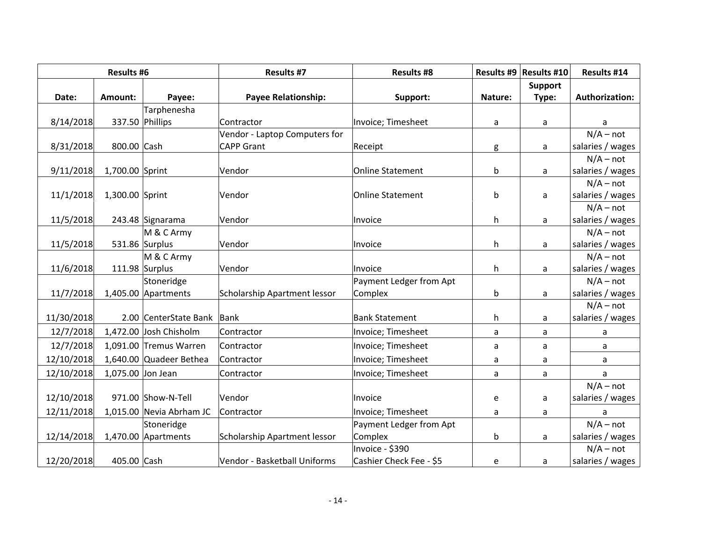| <b>Results #6</b> |                   | <b>Results #7</b>        | <b>Results #8</b>             |                         | Results #9   Results #10 | Results #14    |                       |
|-------------------|-------------------|--------------------------|-------------------------------|-------------------------|--------------------------|----------------|-----------------------|
|                   |                   |                          |                               |                         |                          | <b>Support</b> |                       |
| Date:             | Amount:           | Payee:                   | <b>Payee Relationship:</b>    | Support:                | Nature:                  | Type:          | <b>Authorization:</b> |
|                   |                   | Tarphenesha              |                               |                         |                          |                |                       |
| 8/14/2018         |                   | 337.50 Phillips          | Contractor                    | Invoice; Timesheet      | a                        | a              | a                     |
|                   |                   |                          | Vendor - Laptop Computers for |                         |                          |                | $N/A - not$           |
| 8/31/2018         | 800.00 Cash       |                          | <b>CAPP Grant</b>             | Receipt                 | g                        | a              | salaries / wages      |
|                   |                   |                          |                               |                         |                          |                | $N/A - not$           |
| 9/11/2018         | 1,700.00 Sprint   |                          | Vendor                        | Online Statement        | b                        | a              | salaries / wages      |
|                   |                   |                          |                               |                         |                          |                | $N/A - not$           |
| 11/1/2018         | 1,300.00 Sprint   |                          | Vendor                        | Online Statement        | b                        | a              | salaries / wages      |
|                   |                   |                          |                               |                         |                          |                | $N/A - not$           |
| 11/5/2018         |                   | 243.48 Signarama         | Vendor                        | Invoice                 | h                        | a              | salaries / wages      |
|                   |                   | M & C Army               |                               |                         |                          |                | $N/A - not$           |
| 11/5/2018         |                   | 531.86 Surplus           | Vendor                        | <b>Invoice</b>          | h                        | a              | salaries / wages      |
|                   |                   | M & C Army               |                               |                         |                          |                | $N/A - not$           |
| 11/6/2018         |                   | 111.98 Surplus           | Vendor                        | Invoice                 | h                        | a              | salaries / wages      |
|                   |                   | Stoneridge               |                               | Payment Ledger from Apt |                          |                | $N/A - not$           |
| 11/7/2018         |                   | 1,405.00 Apartments      | Scholarship Apartment lessor  | Complex                 | b                        | a              | salaries / wages      |
|                   |                   |                          |                               |                         |                          |                | $N/A - not$           |
| 11/30/2018        |                   | 2.00 CenterState Bank    | Bank                          | <b>Bank Statement</b>   | h.                       | a              | salaries / wages      |
| 12/7/2018         |                   | 1,472.00 Josh Chisholm   | Contractor                    | Invoice; Timesheet      | a                        | a              | a                     |
| 12/7/2018         |                   | 1,091.00 Tremus Warren   | Contractor                    | Invoice; Timesheet      | a                        | a              | a                     |
| 12/10/2018        |                   | 1,640.00 Quadeer Bethea  | Contractor                    | Invoice; Timesheet      | a                        | a              | a                     |
| 12/10/2018        | 1,075.00 Jon Jean |                          | Contractor                    | Invoice; Timesheet      | a                        | a              | a                     |
|                   |                   |                          |                               |                         |                          |                | $N/A - not$           |
| 12/10/2018        |                   | 971.00 Show-N-Tell       | Vendor                        | Invoice                 | e                        | a              | salaries / wages      |
| 12/11/2018        |                   | 1,015.00 Nevia Abrham JC | Contractor                    | Invoice; Timesheet      | a                        | a              | a                     |
|                   |                   | Stoneridge               |                               | Payment Ledger from Apt |                          |                | $N/A - not$           |
| 12/14/2018        |                   | 1,470.00 Apartments      | Scholarship Apartment lessor  | Complex                 | b                        | a              | salaries / wages      |
|                   |                   |                          |                               | Invoice - \$390         |                          |                | $N/A - not$           |
| 12/20/2018        | 405.00 Cash       |                          | Vendor - Basketball Uniforms  | Cashier Check Fee - \$5 | e                        | a              | salaries / wages      |